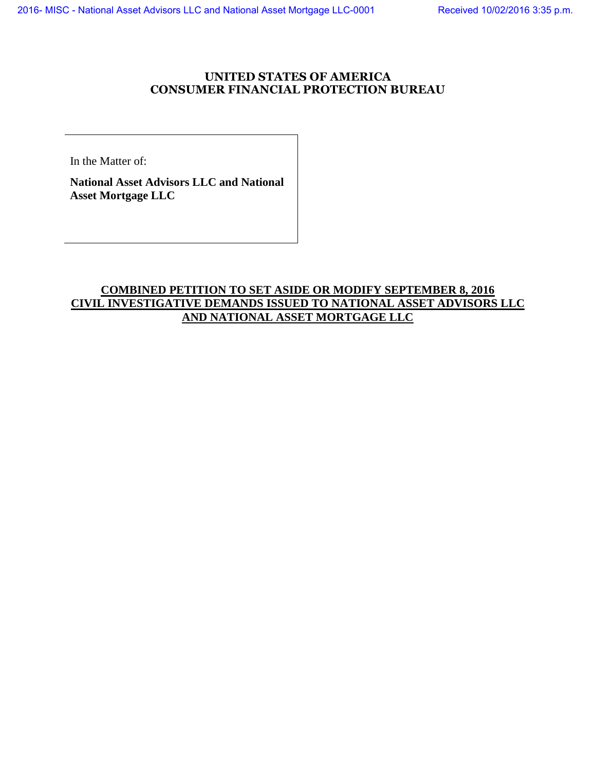## **UNITED STATES OF AMERICA CONSUMER FINANCIAL PROTECTION BUREAU**

In the Matter of:

**National Asset Advisors LLC and National Asset Mortgage LLC**

## **COMBINED PETITION TO SET ASIDE OR MODIFY SEPTEMBER 8, 2016 CIVIL INVESTIGATIVE DEMANDS ISSUED TO NATIONAL ASSET ADVISORS LLC AND NATIONAL ASSET MORTGAGE LLC**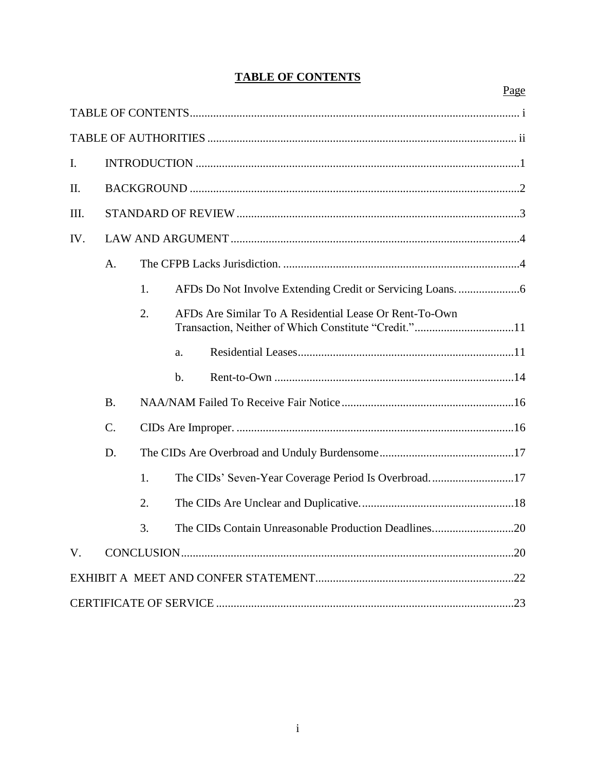|                |                 |    |       |                                                                                                                | Page |  |  |
|----------------|-----------------|----|-------|----------------------------------------------------------------------------------------------------------------|------|--|--|
|                |                 |    |       |                                                                                                                |      |  |  |
|                |                 |    |       |                                                                                                                |      |  |  |
| $\mathbf{I}$ . |                 |    |       |                                                                                                                |      |  |  |
| II.            |                 |    |       |                                                                                                                |      |  |  |
| III.           |                 |    |       |                                                                                                                |      |  |  |
| IV.            |                 |    |       |                                                                                                                |      |  |  |
|                | A.              |    |       |                                                                                                                |      |  |  |
|                |                 | 1. |       |                                                                                                                |      |  |  |
|                |                 | 2. |       | AFDs Are Similar To A Residential Lease Or Rent-To-Own<br>Transaction, Neither of Which Constitute "Credit."11 |      |  |  |
|                |                 |    | a.    |                                                                                                                |      |  |  |
|                |                 |    | $b$ . |                                                                                                                |      |  |  |
|                | <b>B.</b>       |    |       |                                                                                                                |      |  |  |
|                | $\mathcal{C}$ . |    |       |                                                                                                                |      |  |  |
|                | D.              |    |       |                                                                                                                |      |  |  |
|                |                 | 1. |       | The CIDs' Seven-Year Coverage Period Is Overbroad17                                                            |      |  |  |
|                |                 | 2. |       |                                                                                                                |      |  |  |
|                |                 | 3. |       | The CIDs Contain Unreasonable Production Deadlines20                                                           |      |  |  |
| V.             |                 |    |       |                                                                                                                |      |  |  |
|                |                 |    |       |                                                                                                                |      |  |  |
|                |                 |    |       |                                                                                                                |      |  |  |

# <span id="page-1-0"></span>**TABLE OF CONTENTS**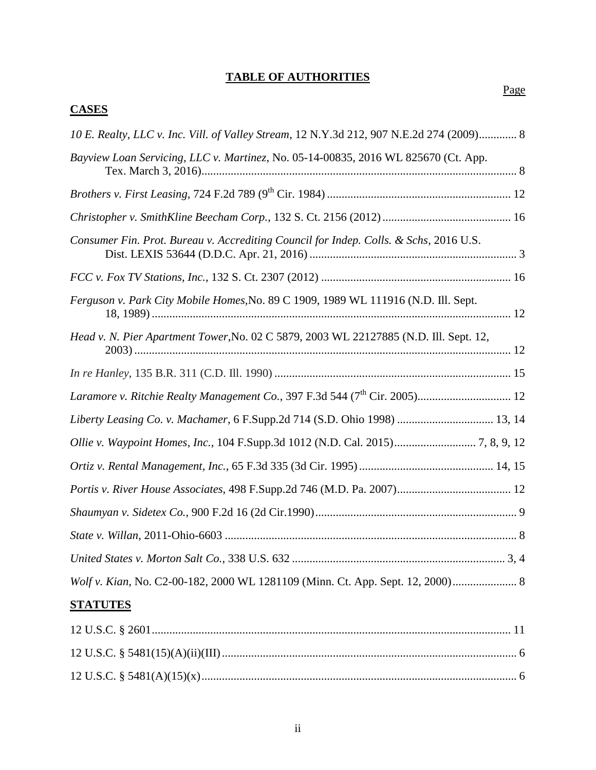## <span id="page-2-0"></span>**TABLE OF AUTHORITIES**

**CASES**

| 10 E. Realty, LLC v. Inc. Vill. of Valley Stream, 12 N.Y.3d 212, 907 N.E.2d 274 (2009) 8 |  |
|------------------------------------------------------------------------------------------|--|
| Bayview Loan Servicing, LLC v. Martinez, No. 05-14-00835, 2016 WL 825670 (Ct. App.       |  |
|                                                                                          |  |
|                                                                                          |  |
| Consumer Fin. Prot. Bureau v. Accrediting Council for Indep. Colls. & Schs, 2016 U.S.    |  |
|                                                                                          |  |
| Ferguson v. Park City Mobile Homes, No. 89 C 1909, 1989 WL 111916 (N.D. Ill. Sept.       |  |
| Head v. N. Pier Apartment Tower, No. 02 C 5879, 2003 WL 22127885 (N.D. Ill. Sept. 12,    |  |
|                                                                                          |  |
|                                                                                          |  |
| Liberty Leasing Co. v. Machamer, 6 F.Supp.2d 714 (S.D. Ohio 1998)  13, 14                |  |
|                                                                                          |  |
|                                                                                          |  |
|                                                                                          |  |
|                                                                                          |  |
|                                                                                          |  |
|                                                                                          |  |
| Wolf v. Kian, No. C2-00-182, 2000 WL 1281109 (Minn. Ct. App. Sept. 12, 2000) 8           |  |
| <b>STATUTES</b>                                                                          |  |
|                                                                                          |  |
|                                                                                          |  |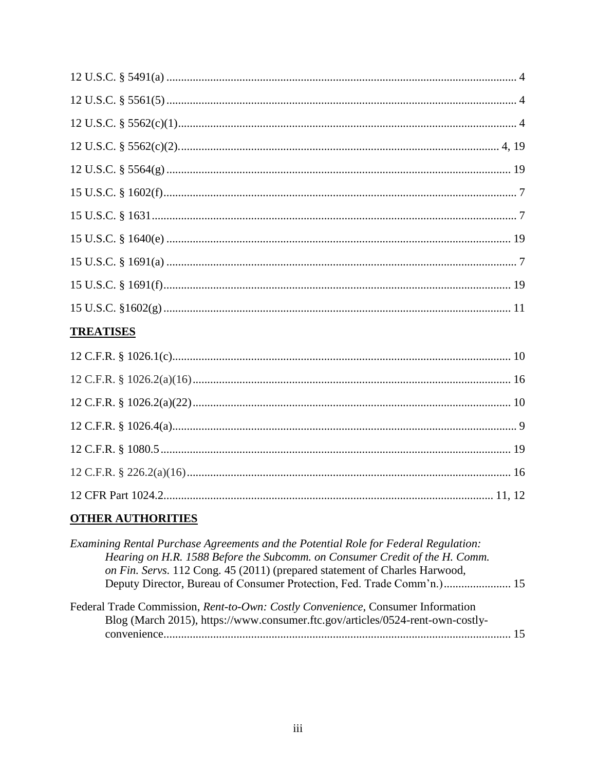## **TREATISES**

# **OTHER AUTHORITIES**

| Examining Rental Purchase Agreements and the Potential Role for Federal Regulation:                                                                               |  |
|-------------------------------------------------------------------------------------------------------------------------------------------------------------------|--|
| Hearing on H.R. 1588 Before the Subcomm. on Consumer Credit of the H. Comm.                                                                                       |  |
| on Fin. Servs. 112 Cong. 45 (2011) (prepared statement of Charles Harwood,                                                                                        |  |
| Deputy Director, Bureau of Consumer Protection, Fed. Trade Comm'n.) 15                                                                                            |  |
| Federal Trade Commission, Rent-to-Own: Costly Convenience, Consumer Information<br>Blog (March 2015), https://www.consumer.ftc.gov/articles/0524-rent-own-costly- |  |
|                                                                                                                                                                   |  |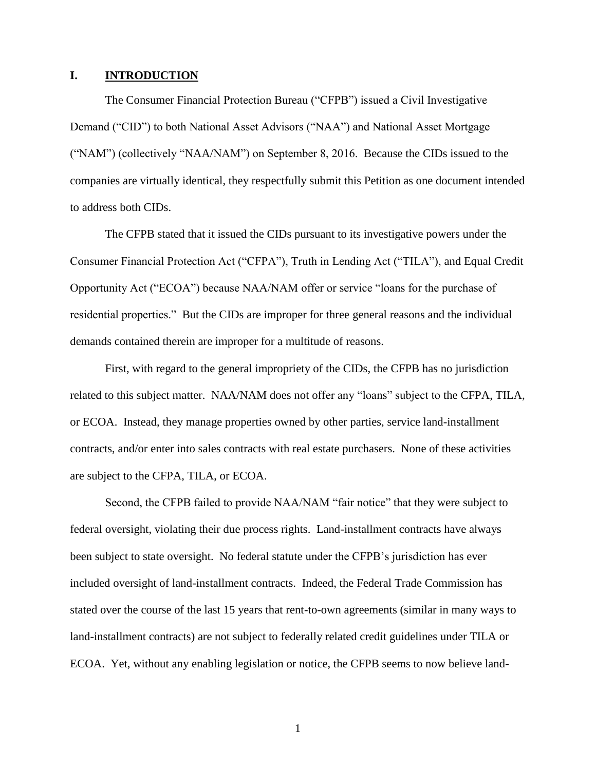#### <span id="page-4-0"></span>**I. INTRODUCTION**

The Consumer Financial Protection Bureau ("CFPB") issued a Civil Investigative Demand ("CID") to both National Asset Advisors ("NAA") and National Asset Mortgage ("NAM") (collectively "NAA/NAM") on September 8, 2016. Because the CIDs issued to the companies are virtually identical, they respectfully submit this Petition as one document intended to address both CIDs.

The CFPB stated that it issued the CIDs pursuant to its investigative powers under the Consumer Financial Protection Act ("CFPA"), Truth in Lending Act ("TILA"), and Equal Credit Opportunity Act ("ECOA") because NAA/NAM offer or service "loans for the purchase of residential properties." But the CIDs are improper for three general reasons and the individual demands contained therein are improper for a multitude of reasons.

First, with regard to the general impropriety of the CIDs, the CFPB has no jurisdiction related to this subject matter. NAA/NAM does not offer any "loans" subject to the CFPA, TILA, or ECOA. Instead, they manage properties owned by other parties, service land-installment contracts, and/or enter into sales contracts with real estate purchasers. None of these activities are subject to the CFPA, TILA, or ECOA.

Second, the CFPB failed to provide NAA/NAM "fair notice" that they were subject to federal oversight, violating their due process rights. Land-installment contracts have always been subject to state oversight. No federal statute under the CFPB's jurisdiction has ever included oversight of land-installment contracts. Indeed, the Federal Trade Commission has stated over the course of the last 15 years that rent-to-own agreements (similar in many ways to land-installment contracts) are not subject to federally related credit guidelines under TILA or ECOA. Yet, without any enabling legislation or notice, the CFPB seems to now believe land-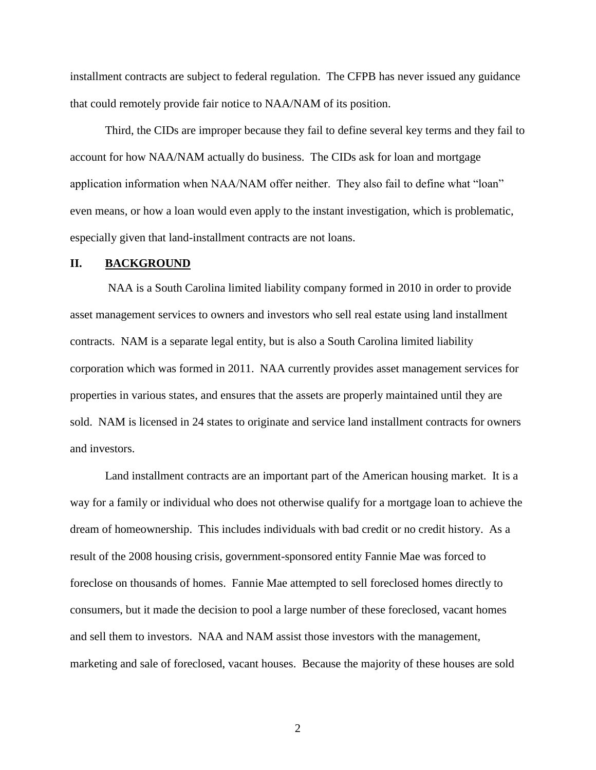installment contracts are subject to federal regulation. The CFPB has never issued any guidance that could remotely provide fair notice to NAA/NAM of its position.

Third, the CIDs are improper because they fail to define several key terms and they fail to account for how NAA/NAM actually do business. The CIDs ask for loan and mortgage application information when NAA/NAM offer neither. They also fail to define what "loan" even means, or how a loan would even apply to the instant investigation, which is problematic, especially given that land-installment contracts are not loans.

### <span id="page-5-0"></span>**II. BACKGROUND**

NAA is a South Carolina limited liability company formed in 2010 in order to provide asset management services to owners and investors who sell real estate using land installment contracts. NAM is a separate legal entity, but is also a South Carolina limited liability corporation which was formed in 2011. NAA currently provides asset management services for properties in various states, and ensures that the assets are properly maintained until they are sold. NAM is licensed in 24 states to originate and service land installment contracts for owners and investors.

Land installment contracts are an important part of the American housing market. It is a way for a family or individual who does not otherwise qualify for a mortgage loan to achieve the dream of homeownership. This includes individuals with bad credit or no credit history. As a result of the 2008 housing crisis, government-sponsored entity Fannie Mae was forced to foreclose on thousands of homes. Fannie Mae attempted to sell foreclosed homes directly to consumers, but it made the decision to pool a large number of these foreclosed, vacant homes and sell them to investors. NAA and NAM assist those investors with the management, marketing and sale of foreclosed, vacant houses. Because the majority of these houses are sold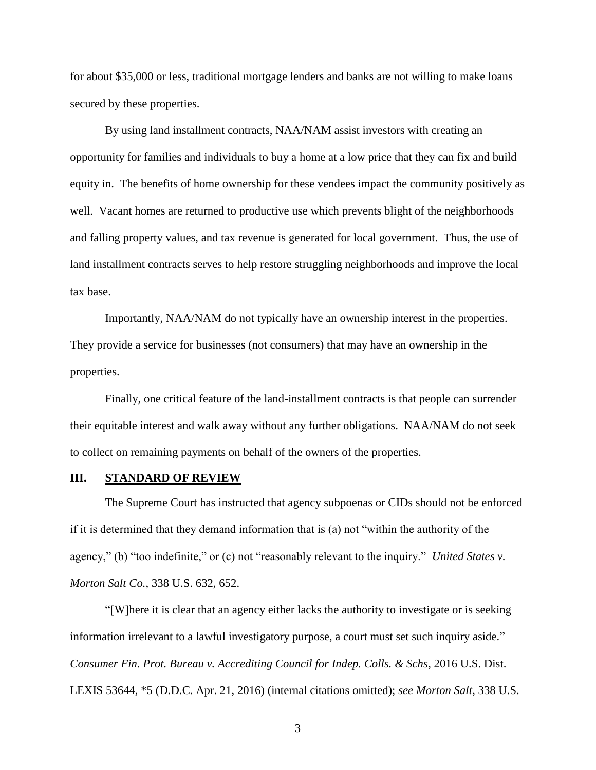for about \$35,000 or less, traditional mortgage lenders and banks are not willing to make loans secured by these properties.

By using land installment contracts, NAA/NAM assist investors with creating an opportunity for families and individuals to buy a home at a low price that they can fix and build equity in. The benefits of home ownership for these vendees impact the community positively as well. Vacant homes are returned to productive use which prevents blight of the neighborhoods and falling property values, and tax revenue is generated for local government. Thus, the use of land installment contracts serves to help restore struggling neighborhoods and improve the local tax base.

Importantly, NAA/NAM do not typically have an ownership interest in the properties. They provide a service for businesses (not consumers) that may have an ownership in the properties.

Finally, one critical feature of the land-installment contracts is that people can surrender their equitable interest and walk away without any further obligations. NAA/NAM do not seek to collect on remaining payments on behalf of the owners of the properties.

#### <span id="page-6-0"></span>**III. STANDARD OF REVIEW**

The Supreme Court has instructed that agency subpoenas or CIDs should not be enforced if it is determined that they demand information that is (a) not "within the authority of the agency," (b) "too indefinite," or (c) not "reasonably relevant to the inquiry." *United States v. Morton Salt Co.*, 338 U.S. 632, 652.

"[W]here it is clear that an agency either lacks the authority to investigate or is seeking information irrelevant to a lawful investigatory purpose, a court must set such inquiry aside." *Consumer Fin. Prot. Bureau v. Accrediting Council for Indep. Colls. & Schs*, 2016 U.S. Dist. LEXIS 53644, \*5 (D.D.C. Apr. 21, 2016) (internal citations omitted); *see Morton Salt*, 338 U.S.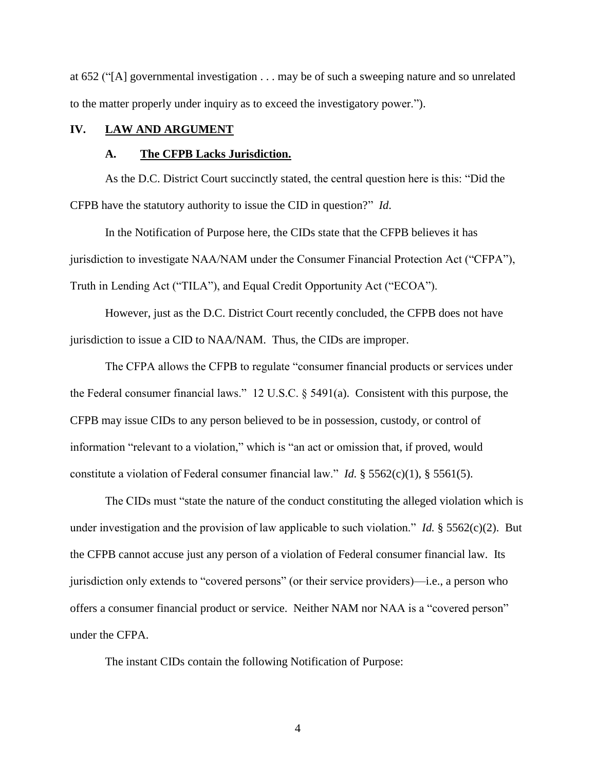at 652 ("[A] governmental investigation . . . may be of such a sweeping nature and so unrelated to the matter properly under inquiry as to exceed the investigatory power.").

#### <span id="page-7-1"></span><span id="page-7-0"></span>**IV. LAW AND ARGUMENT**

#### **A. The CFPB Lacks Jurisdiction.**

As the D.C. District Court succinctly stated, the central question here is this: "Did the CFPB have the statutory authority to issue the CID in question?" *Id*.

In the Notification of Purpose here, the CIDs state that the CFPB believes it has jurisdiction to investigate NAA/NAM under the Consumer Financial Protection Act ("CFPA"), Truth in Lending Act ("TILA"), and Equal Credit Opportunity Act ("ECOA").

However, just as the D.C. District Court recently concluded, the CFPB does not have jurisdiction to issue a CID to NAA/NAM. Thus, the CIDs are improper.

The CFPA allows the CFPB to regulate "consumer financial products or services under the Federal consumer financial laws." 12 U.S.C. § 5491(a). Consistent with this purpose, the CFPB may issue CIDs to any person believed to be in possession, custody, or control of information "relevant to a violation," which is "an act or omission that, if proved, would constitute a violation of Federal consumer financial law." *Id.* § 5562(c)(1), § 5561(5).

The CIDs must "state the nature of the conduct constituting the alleged violation which is under investigation and the provision of law applicable to such violation." *Id.* § 5562(c)(2). But the CFPB cannot accuse just any person of a violation of Federal consumer financial law. Its jurisdiction only extends to "covered persons" (or their service providers)—i.e., a person who offers a consumer financial product or service. Neither NAM nor NAA is a "covered person" under the CFPA.

The instant CIDs contain the following Notification of Purpose: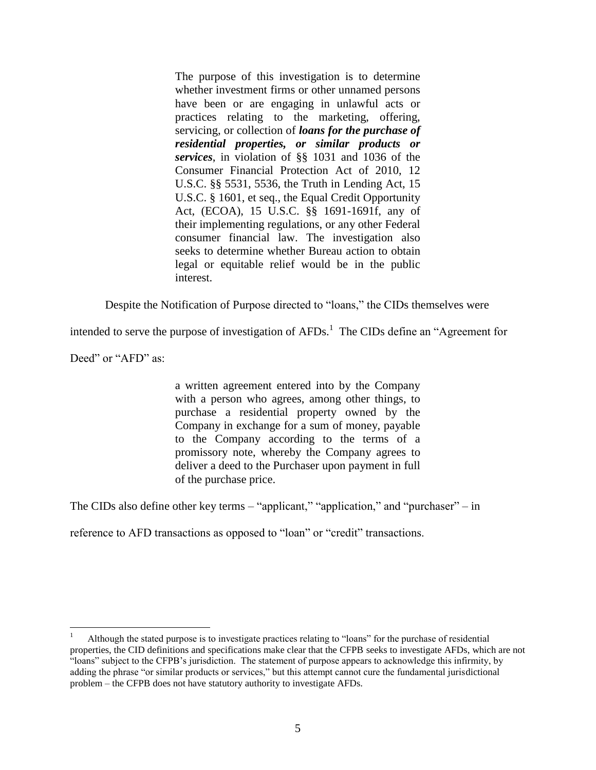The purpose of this investigation is to determine whether investment firms or other unnamed persons have been or are engaging in unlawful acts or practices relating to the marketing, offering, servicing, or collection of *loans for the purchase of residential properties, or similar products or services*, in violation of §§ 1031 and 1036 of the Consumer Financial Protection Act of 2010, 12 U.S.C. §§ 5531, 5536, the Truth in Lending Act, 15 U.S.C. § 1601, et seq., the Equal Credit Opportunity Act, (ECOA), 15 U.S.C. §§ 1691-1691f, any of their implementing regulations, or any other Federal consumer financial law. The investigation also seeks to determine whether Bureau action to obtain legal or equitable relief would be in the public interest.

Despite the Notification of Purpose directed to "loans," the CIDs themselves were

intended to serve the purpose of investigation of  $AFDs$ .<sup>1</sup> The CIDs define an "Agreement for

Deed" or "AFD" as:

 $\overline{a}$ 

a written agreement entered into by the Company with a person who agrees, among other things, to purchase a residential property owned by the Company in exchange for a sum of money, payable to the Company according to the terms of a promissory note, whereby the Company agrees to deliver a deed to the Purchaser upon payment in full of the purchase price.

The CIDs also define other key terms – "applicant," "application," and "purchaser" – in

reference to AFD transactions as opposed to "loan" or "credit" transactions.

<sup>1</sup> Although the stated purpose is to investigate practices relating to "loans" for the purchase of residential properties, the CID definitions and specifications make clear that the CFPB seeks to investigate AFDs, which are not "loans" subject to the CFPB's jurisdiction. The statement of purpose appears to acknowledge this infirmity, by adding the phrase "or similar products or services," but this attempt cannot cure the fundamental jurisdictional problem – the CFPB does not have statutory authority to investigate AFDs.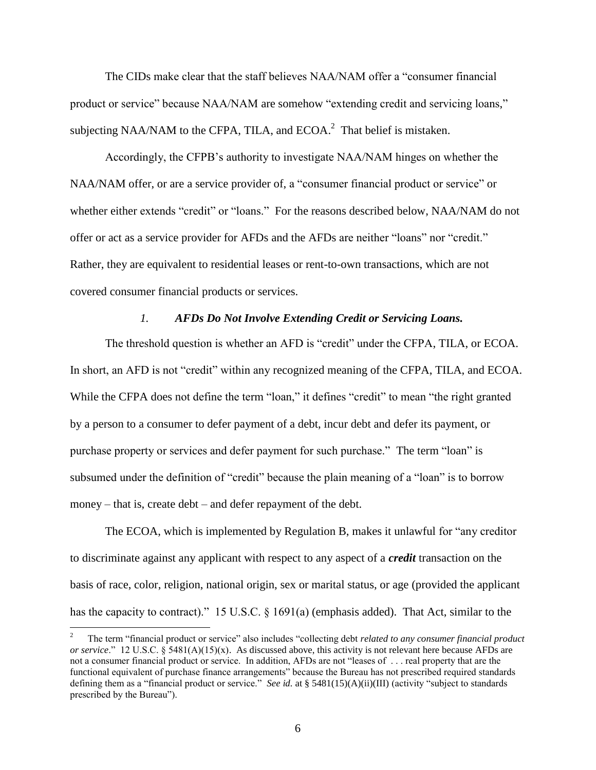The CIDs make clear that the staff believes NAA/NAM offer a "consumer financial product or service" because NAA/NAM are somehow "extending credit and servicing loans," subjecting NAA/NAM to the CFPA, TILA, and ECOA. $^2$  That belief is mistaken.

Accordingly, the CFPB's authority to investigate NAA/NAM hinges on whether the NAA/NAM offer, or are a service provider of, a "consumer financial product or service" or whether either extends "credit" or "loans." For the reasons described below, NAA/NAM do not offer or act as a service provider for AFDs and the AFDs are neither "loans" nor "credit." Rather, they are equivalent to residential leases or rent-to-own transactions, which are not covered consumer financial products or services.

#### *1. AFDs Do Not Involve Extending Credit or Servicing Loans.*

<span id="page-9-0"></span>The threshold question is whether an AFD is "credit" under the CFPA, TILA, or ECOA. In short, an AFD is not "credit" within any recognized meaning of the CFPA, TILA, and ECOA. While the CFPA does not define the term "loan," it defines "credit" to mean "the right granted by a person to a consumer to defer payment of a debt, incur debt and defer its payment, or purchase property or services and defer payment for such purchase." The term "loan" is subsumed under the definition of "credit" because the plain meaning of a "loan" is to borrow money – that is, create debt – and defer repayment of the debt.

The ECOA, which is implemented by Regulation B, makes it unlawful for "any creditor to discriminate against any applicant with respect to any aspect of a *credit* transaction on the basis of race, color, religion, national origin, sex or marital status, or age (provided the applicant has the capacity to contract)." 15 U.S.C. § 1691(a) (emphasis added). That Act, similar to the

<sup>2</sup> The term "financial product or service" also includes "collecting debt *related to any consumer financial product or service.*" 12 U.S.C. § 5481(A)(15)(x). As discussed above, this activity is not relevant here because AFDs are not a consumer financial product or service. In addition, AFDs are not "leases of . . . real property that are the functional equivalent of purchase finance arrangements" because the Bureau has not prescribed required standards defining them as a "financial product or service." *See id.* at § 5481(15)(A)(ii)(III) (activity "subject to standards prescribed by the Bureau").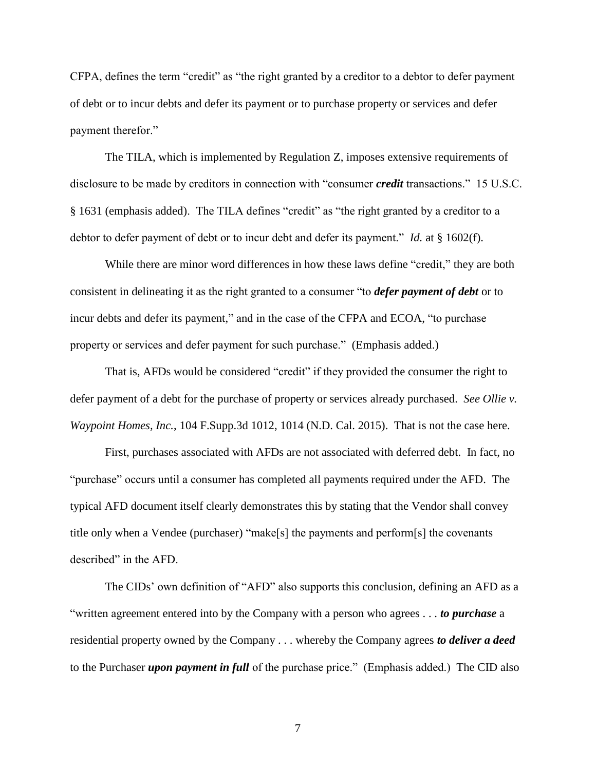CFPA, defines the term "credit" as "the right granted by a creditor to a debtor to defer payment of debt or to incur debts and defer its payment or to purchase property or services and defer payment therefor."

The TILA, which is implemented by Regulation Z, imposes extensive requirements of disclosure to be made by creditors in connection with "consumer *credit* transactions." 15 U.S.C. § 1631 (emphasis added). The TILA defines "credit" as "the right granted by a creditor to a debtor to defer payment of debt or to incur debt and defer its payment." *Id.* at § 1602(f).

While there are minor word differences in how these laws define "credit," they are both consistent in delineating it as the right granted to a consumer "to *defer payment of debt* or to incur debts and defer its payment," and in the case of the CFPA and ECOA, "to purchase property or services and defer payment for such purchase." (Emphasis added.)

That is, AFDs would be considered "credit" if they provided the consumer the right to defer payment of a debt for the purchase of property or services already purchased. *See Ollie v. Waypoint Homes, Inc.*, 104 F.Supp.3d 1012, 1014 (N.D. Cal. 2015). That is not the case here.

First, purchases associated with AFDs are not associated with deferred debt. In fact, no "purchase" occurs until a consumer has completed all payments required under the AFD. The typical AFD document itself clearly demonstrates this by stating that the Vendor shall convey title only when a Vendee (purchaser) "make[s] the payments and perform[s] the covenants described" in the AFD.

The CIDs' own definition of "AFD" also supports this conclusion, defining an AFD as a "written agreement entered into by the Company with a person who agrees . . . *to purchase* a residential property owned by the Company . . . whereby the Company agrees *to deliver a deed* to the Purchaser *upon payment in full* of the purchase price." (Emphasis added.) The CID also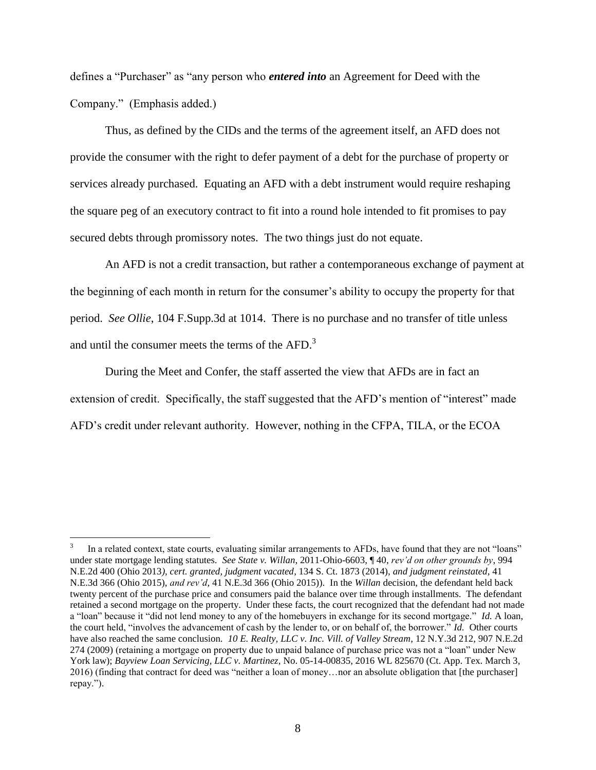defines a "Purchaser" as "any person who *entered into* an Agreement for Deed with the Company." (Emphasis added.)

Thus, as defined by the CIDs and the terms of the agreement itself, an AFD does not provide the consumer with the right to defer payment of a debt for the purchase of property or services already purchased. Equating an AFD with a debt instrument would require reshaping the square peg of an executory contract to fit into a round hole intended to fit promises to pay secured debts through promissory notes. The two things just do not equate.

An AFD is not a credit transaction, but rather a contemporaneous exchange of payment at the beginning of each month in return for the consumer's ability to occupy the property for that period. *See Ollie*, 104 F.Supp.3d at 1014. There is no purchase and no transfer of title unless and until the consumer meets the terms of the AFD.<sup>3</sup>

During the Meet and Confer, the staff asserted the view that AFDs are in fact an extension of credit. Specifically, the staff suggested that the AFD's mention of "interest" made AFD's credit under relevant authority. However, nothing in the CFPA, TILA, or the ECOA

<sup>3</sup> In a related context, state courts, evaluating similar arrangements to AFDs, have found that they are not "loans" under state mortgage lending statutes. *See State v. Willan*, 2011-Ohio-6603, ¶ 40, *rev'd on other grounds by*, 994 N.E.2d 400 (Ohio 2013*), cert. granted, judgment vacated*, 134 S. Ct. 1873 (2014), *and judgment reinstated*, 41 N.E.3d 366 (Ohio 2015), *and rev'd*, 41 N.E.3d 366 (Ohio 2015)). In the *Willan* decision, the defendant held back twenty percent of the purchase price and consumers paid the balance over time through installments. The defendant retained a second mortgage on the property. Under these facts, the court recognized that the defendant had not made a "loan" because it "did not lend money to any of the homebuyers in exchange for its second mortgage." *Id.* A loan, the court held, "involves the advancement of cash by the lender to, or on behalf of, the borrower." *Id.* Other courts have also reached the same conclusion. *10 E. Realty, LLC v. Inc. Vill. of Valley Stream*, 12 N.Y.3d 212, 907 N.E.2d 274 (2009) (retaining a mortgage on property due to unpaid balance of purchase price was not a "loan" under New York law); *Bayview Loan Servicing, LLC v. Martinez*, No. 05-14-00835, 2016 WL 825670 (Ct. App. Tex. March 3, 2016) (finding that contract for deed was "neither a loan of money…nor an absolute obligation that [the purchaser] repay.").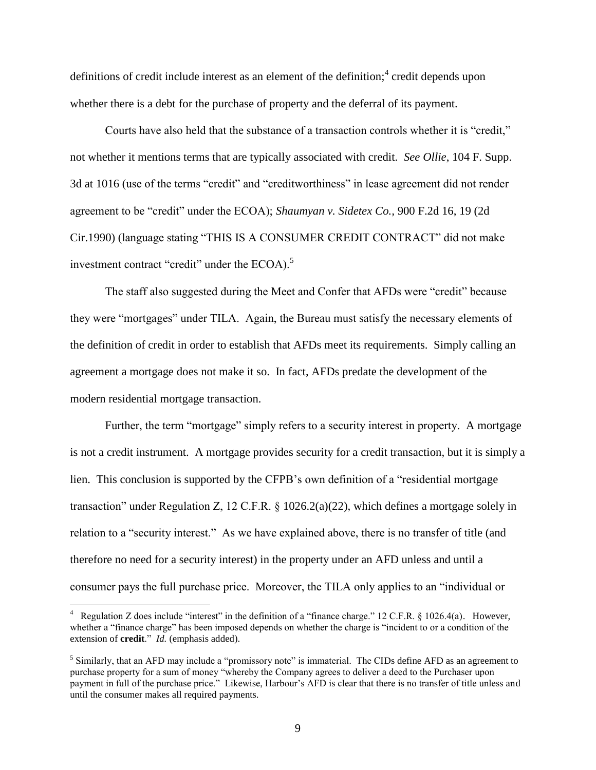definitions of credit include interest as an element of the definition;<sup>4</sup> credit depends upon whether there is a debt for the purchase of property and the deferral of its payment.

Courts have also held that the substance of a transaction controls whether it is "credit," not whether it mentions terms that are typically associated with credit. *See Ollie*, 104 F. Supp. 3d at 1016 (use of the terms "credit" and "creditworthiness" in lease agreement did not render agreement to be "credit" under the ECOA); *Shaumyan v. Sidetex Co.,* 900 F.2d 16, 19 (2d Cir.1990) (language stating "THIS IS A CONSUMER CREDIT CONTRACT" did not make investment contract "credit" under the ECOA).<sup>5</sup>

The staff also suggested during the Meet and Confer that AFDs were "credit" because they were "mortgages" under TILA. Again, the Bureau must satisfy the necessary elements of the definition of credit in order to establish that AFDs meet its requirements. Simply calling an agreement a mortgage does not make it so. In fact, AFDs predate the development of the modern residential mortgage transaction.

Further, the term "mortgage" simply refers to a security interest in property. A mortgage is not a credit instrument. A mortgage provides security for a credit transaction, but it is simply a lien. This conclusion is supported by the CFPB's own definition of a "residential mortgage transaction" under Regulation Z, 12 C.F.R. § 1026.2(a)(22), which defines a mortgage solely in relation to a "security interest." As we have explained above, there is no transfer of title (and therefore no need for a security interest) in the property under an AFD unless and until a consumer pays the full purchase price. Moreover, the TILA only applies to an "individual or

<sup>&</sup>lt;sup>4</sup> Regulation Z does include "interest" in the definition of a "finance charge." 12 C.F.R. § 1026.4(a). However, whether a "finance charge" has been imposed depends on whether the charge is "incident to or a condition of the extension of **credit**." *Id.* (emphasis added).

<sup>&</sup>lt;sup>5</sup> Similarly, that an AFD may include a "promissory note" is immaterial. The CIDs define AFD as an agreement to purchase property for a sum of money "whereby the Company agrees to deliver a deed to the Purchaser upon payment in full of the purchase price." Likewise, Harbour's AFD is clear that there is no transfer of title unless and until the consumer makes all required payments.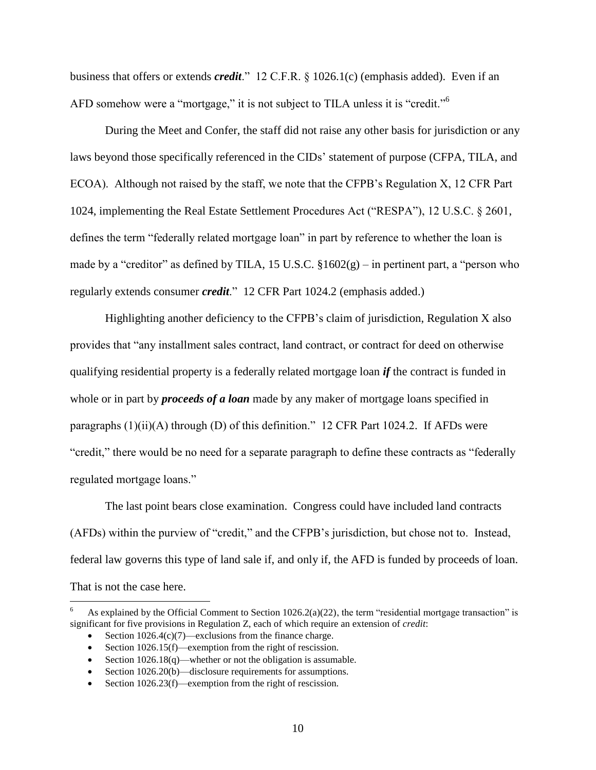business that offers or extends *credit*." 12 C.F.R. § 1026.1(c) (emphasis added). Even if an AFD somehow were a "mortgage," it is not subject to TILA unless it is "credit."<sup>6</sup>

During the Meet and Confer, the staff did not raise any other basis for jurisdiction or any laws beyond those specifically referenced in the CIDs' statement of purpose (CFPA, TILA, and ECOA). Although not raised by the staff, we note that the CFPB's Regulation X, 12 CFR Part 1024, implementing the Real Estate Settlement Procedures Act ("RESPA"), 12 U.S.C. § 2601, defines the term "federally related mortgage loan" in part by reference to whether the loan is made by a "creditor" as defined by TILA, 15 U.S.C.  $$1602(g)$  – in pertinent part, a "person who regularly extends consumer *credit*." 12 CFR Part 1024.2 (emphasis added.)

Highlighting another deficiency to the CFPB's claim of jurisdiction, Regulation X also provides that "any installment sales contract, land contract, or contract for deed on otherwise qualifying residential property is a federally related mortgage loan *if* the contract is funded in whole or in part by *proceeds of a loan* made by any maker of mortgage loans specified in paragraphs  $(1)(ii)(A)$  through  $(D)$  of this definition." 12 CFR Part 1024.2. If AFDs were "credit," there would be no need for a separate paragraph to define these contracts as "federally regulated mortgage loans."

The last point bears close examination. Congress could have included land contracts (AFDs) within the purview of "credit," and the CFPB's jurisdiction, but chose not to. Instead, federal law governs this type of land sale if, and only if, the AFD is funded by proceeds of loan. That is not the case here.

As explained by the Official Comment to Section  $1026.2(a)(22)$ , the term "residential mortgage transaction" is significant for five provisions in Regulation Z, each of which require an extension of *credit*:

Section 1026.4(c)(7)—exclusions from the finance charge.

Section 1026.15(f)—exemption from the right of rescission.

Section  $1026.18(q)$ —whether or not the obligation is assumable.

<sup>•</sup> Section 1026.20(b)—disclosure requirements for assumptions.

Section  $1026.23(f)$ —exemption from the right of rescission.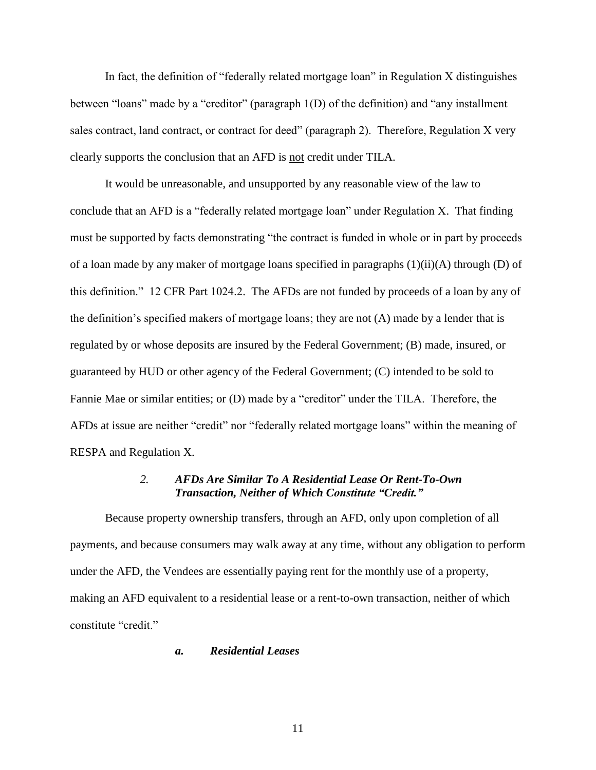In fact, the definition of "federally related mortgage loan" in Regulation X distinguishes between "loans" made by a "creditor" (paragraph 1(D) of the definition) and "any installment sales contract, land contract, or contract for deed" (paragraph 2). Therefore, Regulation X very clearly supports the conclusion that an AFD is not credit under TILA.

It would be unreasonable, and unsupported by any reasonable view of the law to conclude that an AFD is a "federally related mortgage loan" under Regulation X. That finding must be supported by facts demonstrating "the contract is funded in whole or in part by proceeds of a loan made by any maker of mortgage loans specified in paragraphs (1)(ii)(A) through (D) of this definition." 12 CFR Part 1024.2. The AFDs are not funded by proceeds of a loan by any of the definition's specified makers of mortgage loans; they are not (A) made by a lender that is regulated by or whose deposits are insured by the Federal Government; (B) made, insured, or guaranteed by HUD or other agency of the Federal Government; (C) intended to be sold to Fannie Mae or similar entities; or (D) made by a "creditor" under the TILA. Therefore, the AFDs at issue are neither "credit" nor "federally related mortgage loans" within the meaning of RESPA and Regulation X.

## *2. AFDs Are Similar To A Residential Lease Or Rent-To-Own Transaction, Neither of Which Constitute "Credit."*

<span id="page-14-0"></span>Because property ownership transfers, through an AFD, only upon completion of all payments, and because consumers may walk away at any time, without any obligation to perform under the AFD, the Vendees are essentially paying rent for the monthly use of a property, making an AFD equivalent to a residential lease or a rent-to-own transaction, neither of which constitute "credit."

### <span id="page-14-1"></span>*a. Residential Leases*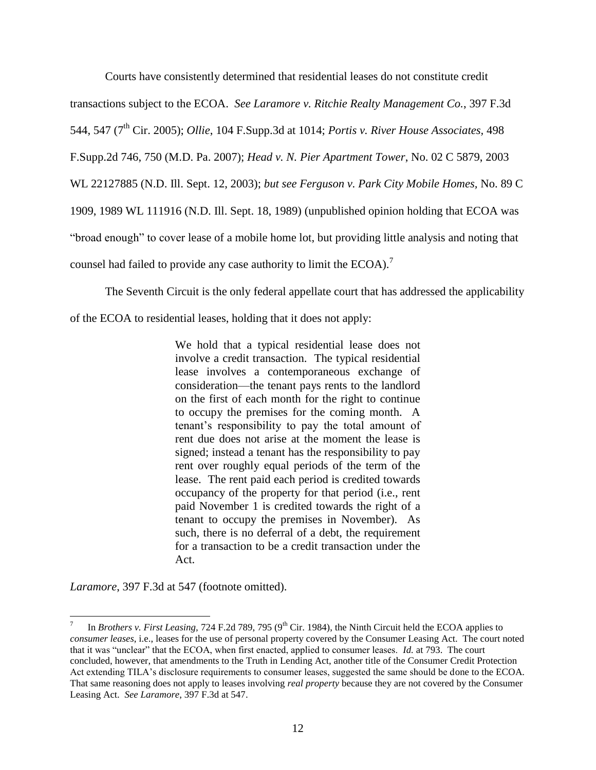Courts have consistently determined that residential leases do not constitute credit

transactions subject to the ECOA. *See Laramore v. Ritchie Realty Management Co.*, 397 F.3d

544, 547 (7th Cir. 2005); *Ollie*, 104 F.Supp.3d at 1014; *Portis v. River House Associates,* 498

F.Supp.2d 746, 750 (M.D. Pa. 2007); *Head v. N. Pier Apartment Tower*, No. 02 C 5879, 2003

WL 22127885 (N.D. Ill. Sept. 12, 2003); *but see Ferguson v. Park City Mobile Homes,* No. 89 C

1909, 1989 WL 111916 (N.D. Ill. Sept. 18, 1989) (unpublished opinion holding that ECOA was

"broad enough" to cover lease of a mobile home lot, but providing little analysis and noting that

counsel had failed to provide any case authority to limit the  $ECOA$ ).<sup>7</sup>

The Seventh Circuit is the only federal appellate court that has addressed the applicability

of the ECOA to residential leases, holding that it does not apply:

We hold that a typical residential lease does not involve a credit transaction. The typical residential lease involves a contemporaneous exchange of consideration—the tenant pays rents to the landlord on the first of each month for the right to continue to occupy the premises for the coming month. A tenant's responsibility to pay the total amount of rent due does not arise at the moment the lease is signed; instead a tenant has the responsibility to pay rent over roughly equal periods of the term of the lease. The rent paid each period is credited towards occupancy of the property for that period (i.e., rent paid November 1 is credited towards the right of a tenant to occupy the premises in November). As such, there is no deferral of a debt, the requirement for a transaction to be a credit transaction under the Act.

*Laramore*, 397 F.3d at 547 (footnote omitted).

<sup>7</sup> In *Brothers v. First Leasing, 724 F.2d 789, 795* (9<sup>th</sup> Cir. 1984), the Ninth Circuit held the ECOA applies to *consumer leases*, i.e., leases for the use of personal property covered by the Consumer Leasing Act. The court noted that it was "unclear" that the ECOA, when first enacted, applied to consumer leases. *Id.* at 793. The court concluded, however, that amendments to the Truth in Lending Act, another title of the Consumer Credit Protection Act extending TILA's disclosure requirements to consumer leases, suggested the same should be done to the ECOA. That same reasoning does not apply to leases involving *real property* because they are not covered by the Consumer Leasing Act. *See Laramore*, 397 F.3d at 547.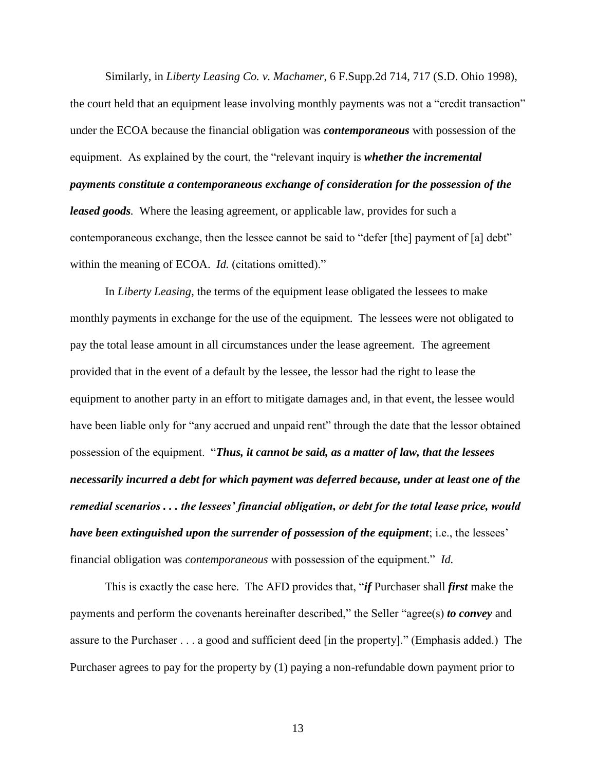Similarly, in *Liberty Leasing Co. v. Machamer*, 6 F.Supp.2d 714, 717 (S.D. Ohio 1998), the court held that an equipment lease involving monthly payments was not a "credit transaction" under the ECOA because the financial obligation was *contemporaneous* with possession of the equipment. As explained by the court, the "relevant inquiry is *whether the incremental payments constitute a contemporaneous exchange of consideration for the possession of the leased goods.* Where the leasing agreement, or applicable law, provides for such a contemporaneous exchange, then the lessee cannot be said to "defer [the] payment of [a] debt" within the meaning of ECOA. *Id.* (citations omitted)."

In *Liberty Leasing*, the terms of the equipment lease obligated the lessees to make monthly payments in exchange for the use of the equipment. The lessees were not obligated to pay the total lease amount in all circumstances under the lease agreement. The agreement provided that in the event of a default by the lessee, the lessor had the right to lease the equipment to another party in an effort to mitigate damages and, in that event, the lessee would have been liable only for "any accrued and unpaid rent" through the date that the lessor obtained possession of the equipment. "*Thus, it cannot be said, as a matter of law, that the lessees necessarily incurred a debt for which payment was deferred because, under at least one of the remedial scenarios . . . the lessees' financial obligation, or debt for the total lease price, would have been extinguished upon the surrender of possession of the equipment*; i.e., the lessees' financial obligation was *contemporaneous* with possession of the equipment." *Id.*

This is exactly the case here. The AFD provides that, "*if* Purchaser shall *first* make the payments and perform the covenants hereinafter described," the Seller "agree(s) *to convey* and assure to the Purchaser . . . a good and sufficient deed [in the property]." (Emphasis added.) The Purchaser agrees to pay for the property by (1) paying a non-refundable down payment prior to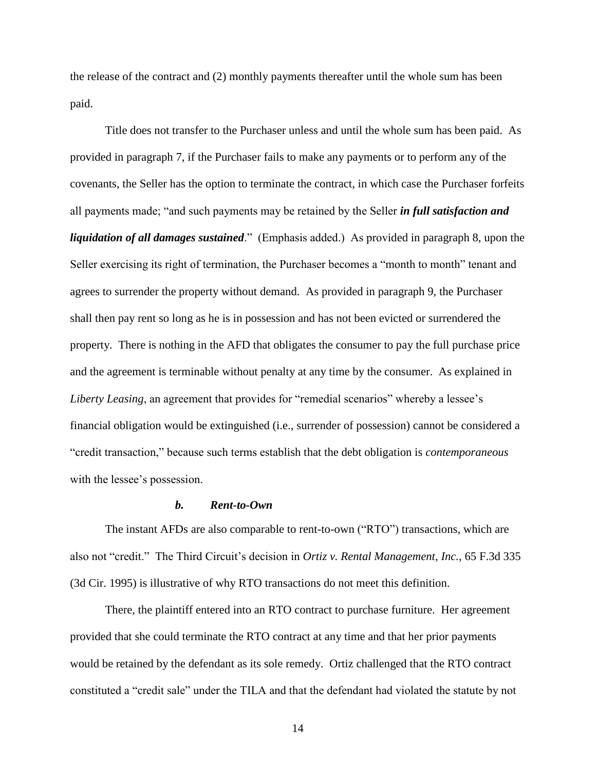the release of the contract and (2) monthly payments thereafter until the whole sum has been paid.

Title does not transfer to the Purchaser unless and until the whole sum has been paid. As provided in paragraph 7, if the Purchaser fails to make any payments or to perform any of the covenants, the Seller has the option to terminate the contract, in which case the Purchaser forfeits all payments made; "and such payments may be retained by the Seller *in full satisfaction and liquidation of all damages sustained*." (Emphasis added.) As provided in paragraph 8, upon the Seller exercising its right of termination, the Purchaser becomes a "month to month" tenant and agrees to surrender the property without demand. As provided in paragraph 9, the Purchaser shall then pay rent so long as he is in possession and has not been evicted or surrendered the property. There is nothing in the AFD that obligates the consumer to pay the full purchase price and the agreement is terminable without penalty at any time by the consumer. As explained in *Liberty Leasing*, an agreement that provides for "remedial scenarios" whereby a lessee's financial obligation would be extinguished (i.e., surrender of possession) cannot be considered a "credit transaction," because such terms establish that the debt obligation is *contemporaneous* with the lessee's possession.

#### *b. Rent-to-Own*

<span id="page-17-0"></span>The instant AFDs are also comparable to rent-to-own ("RTO") transactions, which are also not "credit." The Third Circuit's decision in *Ortiz v. Rental Management, Inc.*, 65 F.3d 335 (3d Cir. 1995) is illustrative of why RTO transactions do not meet this definition.

There, the plaintiff entered into an RTO contract to purchase furniture. Her agreement provided that she could terminate the RTO contract at any time and that her prior payments would be retained by the defendant as its sole remedy. Ortiz challenged that the RTO contract constituted a "credit sale" under the TILA and that the defendant had violated the statute by not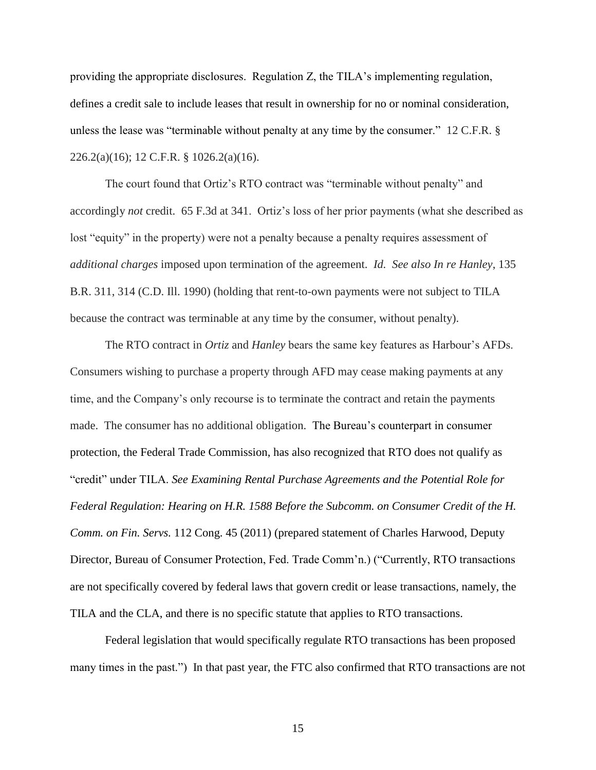providing the appropriate disclosures. Regulation Z, the TILA's implementing regulation, defines a credit sale to include leases that result in ownership for no or nominal consideration, unless the lease was "terminable without penalty at any time by the consumer."12 C.F.R. § 226.2(a)(16); 12 C.F.R. § 1026.2(a)(16).

The court found that Ortiz's RTO contract was "terminable without penalty" and accordingly *not* credit. 65 F.3d at 341. Ortiz's loss of her prior payments (what she described as lost "equity" in the property) were not a penalty because a penalty requires assessment of *additional charges* imposed upon termination of the agreement. *Id. See also In re Hanley*, 135 B.R. 311, 314 (C.D. Ill. 1990) (holding that rent-to-own payments were not subject to TILA because the contract was terminable at any time by the consumer, without penalty).

The RTO contract in *Ortiz* and *Hanley* bears the same key features as Harbour's AFDs. Consumers wishing to purchase a property through AFD may cease making payments at any time, and the Company's only recourse is to terminate the contract and retain the payments made. The consumer has no additional obligation. The Bureau's counterpart in consumer protection, the Federal Trade Commission, has also recognized that RTO does not qualify as "credit" under TILA. *See Examining Rental Purchase Agreements and the Potential Role for Federal Regulation: Hearing on H.R. 1588 Before the Subcomm. on Consumer Credit of the H. Comm. on Fin. Servs.* 112 Cong. 45 (2011) (prepared statement of Charles Harwood, Deputy Director, Bureau of Consumer Protection, Fed. Trade Comm'n.) ("Currently, RTO transactions are not specifically covered by federal laws that govern credit or lease transactions, namely, the TILA and the CLA, and there is no specific statute that applies to RTO transactions.

Federal legislation that would specifically regulate RTO transactions has been proposed many times in the past.") In that past year, the FTC also confirmed that RTO transactions are not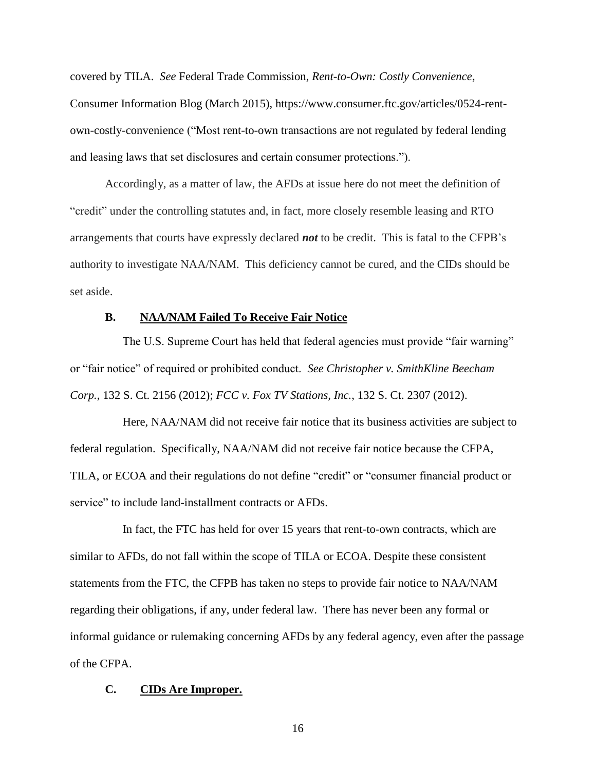covered by TILA. *See* Federal Trade Commission, *Rent-to-Own: Costly Convenience*, Consumer Information Blog (March 2015), https://www.consumer.ftc.gov/articles/0524-rentown-costly-convenience ("Most rent-to-own transactions are not regulated by federal lending and leasing laws that set disclosures and certain consumer protections.").

Accordingly, as a matter of law, the AFDs at issue here do not meet the definition of "credit" under the controlling statutes and, in fact, more closely resemble leasing and RTO arrangements that courts have expressly declared *not* to be credit. This is fatal to the CFPB's authority to investigate NAA/NAM. This deficiency cannot be cured, and the CIDs should be set aside.

## **B. NAA/NAM Failed To Receive Fair Notice**

<span id="page-19-0"></span>The U.S. Supreme Court has held that federal agencies must provide "fair warning" or "fair notice" of required or prohibited conduct. *See Christopher v. SmithKline Beecham Corp.*, 132 S. Ct. 2156 (2012); *FCC v. Fox TV Stations, Inc.*, 132 S. Ct. 2307 (2012).

Here, NAA/NAM did not receive fair notice that its business activities are subject to federal regulation. Specifically, NAA/NAM did not receive fair notice because the CFPA, TILA, or ECOA and their regulations do not define "credit" or "consumer financial product or service" to include land-installment contracts or AFDs.

In fact, the FTC has held for over 15 years that rent-to-own contracts, which are similar to AFDs, do not fall within the scope of TILA or ECOA. Despite these consistent statements from the FTC, the CFPB has taken no steps to provide fair notice to NAA/NAM regarding their obligations, if any, under federal law. There has never been any formal or informal guidance or rulemaking concerning AFDs by any federal agency, even after the passage of the CFPA.

#### <span id="page-19-1"></span>**C. CIDs Are Improper.**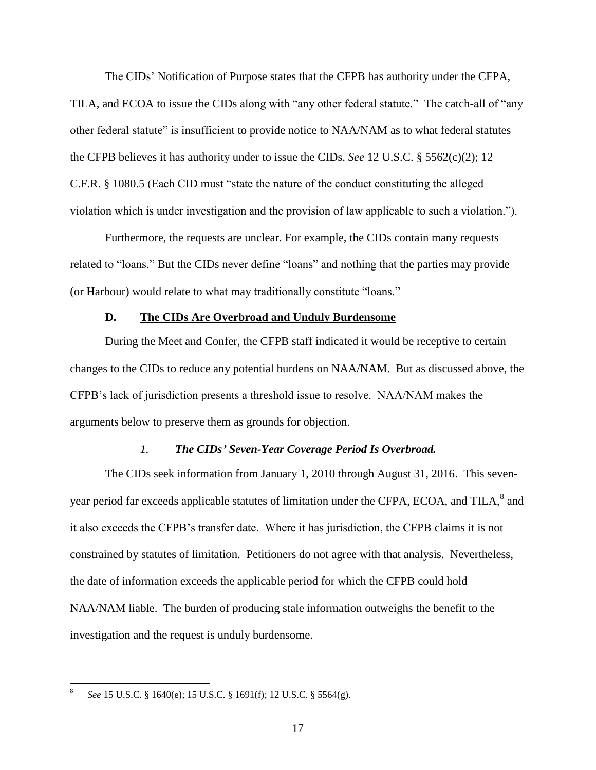The CIDs' Notification of Purpose states that the CFPB has authority under the CFPA, TILA, and ECOA to issue the CIDs along with "any other federal statute." The catch-all of "any other federal statute" is insufficient to provide notice to NAA/NAM as to what federal statutes the CFPB believes it has authority under to issue the CIDs. *See* 12 U.S.C. § 5562(c)(2); 12 C.F.R. § 1080.5 (Each CID must "state the nature of the conduct constituting the alleged violation which is under investigation and the provision of law applicable to such a violation.").

Furthermore, the requests are unclear. For example, the CIDs contain many requests related to "loans." But the CIDs never define "loans" and nothing that the parties may provide (or Harbour) would relate to what may traditionally constitute "loans."

## **D. The CIDs Are Overbroad and Unduly Burdensome**

<span id="page-20-0"></span>During the Meet and Confer, the CFPB staff indicated it would be receptive to certain changes to the CIDs to reduce any potential burdens on NAA/NAM. But as discussed above, the CFPB's lack of jurisdiction presents a threshold issue to resolve. NAA/NAM makes the arguments below to preserve them as grounds for objection.

### *1. The CIDs' Seven-Year Coverage Period Is Overbroad.*

<span id="page-20-1"></span>The CIDs seek information from January 1, 2010 through August 31, 2016. This sevenyear period far exceeds applicable statutes of limitation under the CFPA, ECOA, and TILA, $^8$  and it also exceeds the CFPB's transfer date. Where it has jurisdiction, the CFPB claims it is not constrained by statutes of limitation. Petitioners do not agree with that analysis. Nevertheless, the date of information exceeds the applicable period for which the CFPB could hold NAA/NAM liable. The burden of producing stale information outweighs the benefit to the investigation and the request is unduly burdensome.

 8 *See* 15 U.S.C. § 1640(e); 15 U.S.C. § 1691(f); 12 U.S.C. § 5564(g).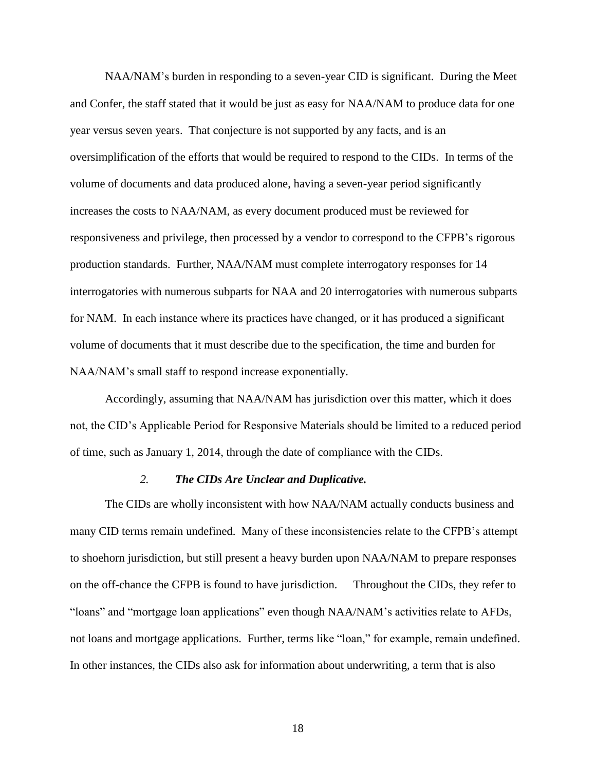NAA/NAM's burden in responding to a seven-year CID is significant. During the Meet and Confer, the staff stated that it would be just as easy for NAA/NAM to produce data for one year versus seven years. That conjecture is not supported by any facts, and is an oversimplification of the efforts that would be required to respond to the CIDs. In terms of the volume of documents and data produced alone, having a seven-year period significantly increases the costs to NAA/NAM, as every document produced must be reviewed for responsiveness and privilege, then processed by a vendor to correspond to the CFPB's rigorous production standards. Further, NAA/NAM must complete interrogatory responses for 14 interrogatories with numerous subparts for NAA and 20 interrogatories with numerous subparts for NAM. In each instance where its practices have changed, or it has produced a significant volume of documents that it must describe due to the specification, the time and burden for NAA/NAM's small staff to respond increase exponentially.

Accordingly, assuming that NAA/NAM has jurisdiction over this matter, which it does not, the CID's Applicable Period for Responsive Materials should be limited to a reduced period of time, such as January 1, 2014, through the date of compliance with the CIDs.

#### *2. The CIDs Are Unclear and Duplicative.*

<span id="page-21-0"></span>The CIDs are wholly inconsistent with how NAA/NAM actually conducts business and many CID terms remain undefined. Many of these inconsistencies relate to the CFPB's attempt to shoehorn jurisdiction, but still present a heavy burden upon NAA/NAM to prepare responses on the off-chance the CFPB is found to have jurisdiction. Throughout the CIDs, they refer to "loans" and "mortgage loan applications" even though NAA/NAM's activities relate to AFDs, not loans and mortgage applications. Further, terms like "loan," for example, remain undefined. In other instances, the CIDs also ask for information about underwriting, a term that is also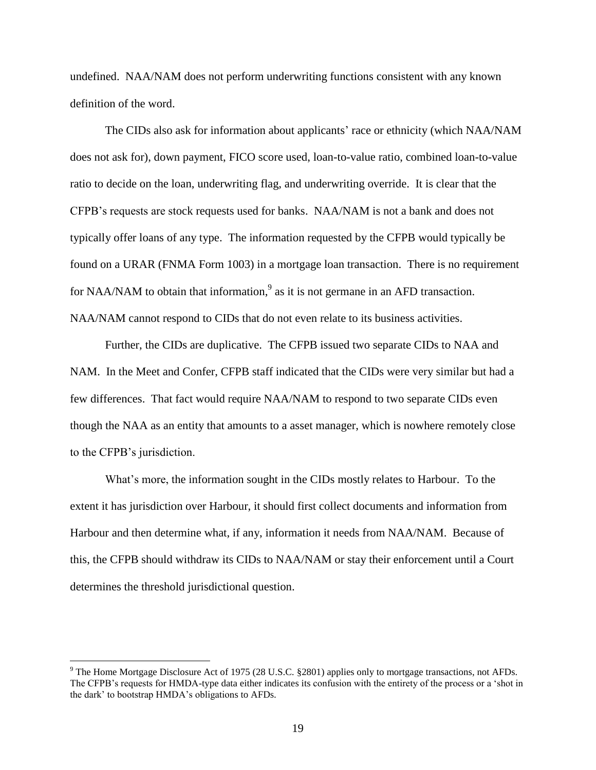undefined. NAA/NAM does not perform underwriting functions consistent with any known definition of the word.

The CIDs also ask for information about applicants' race or ethnicity (which NAA/NAM does not ask for), down payment, FICO score used, loan-to-value ratio, combined loan-to-value ratio to decide on the loan, underwriting flag, and underwriting override. It is clear that the CFPB's requests are stock requests used for banks. NAA/NAM is not a bank and does not typically offer loans of any type. The information requested by the CFPB would typically be found on a URAR (FNMA Form 1003) in a mortgage loan transaction. There is no requirement for NAA/NAM to obtain that information,<sup>9</sup> as it is not germane in an AFD transaction. NAA/NAM cannot respond to CIDs that do not even relate to its business activities.

Further, the CIDs are duplicative. The CFPB issued two separate CIDs to NAA and NAM. In the Meet and Confer, CFPB staff indicated that the CIDs were very similar but had a few differences. That fact would require NAA/NAM to respond to two separate CIDs even though the NAA as an entity that amounts to a asset manager, which is nowhere remotely close to the CFPB's jurisdiction.

What's more, the information sought in the CIDs mostly relates to Harbour. To the extent it has jurisdiction over Harbour, it should first collect documents and information from Harbour and then determine what, if any, information it needs from NAA/NAM. Because of this, the CFPB should withdraw its CIDs to NAA/NAM or stay their enforcement until a Court determines the threshold jurisdictional question.

 $9$  The Home Mortgage Disclosure Act of 1975 (28 U.S.C. §2801) applies only to mortgage transactions, not AFDs. The CFPB's requests for HMDA-type data either indicates its confusion with the entirety of the process or a 'shot in the dark' to bootstrap HMDA's obligations to AFDs.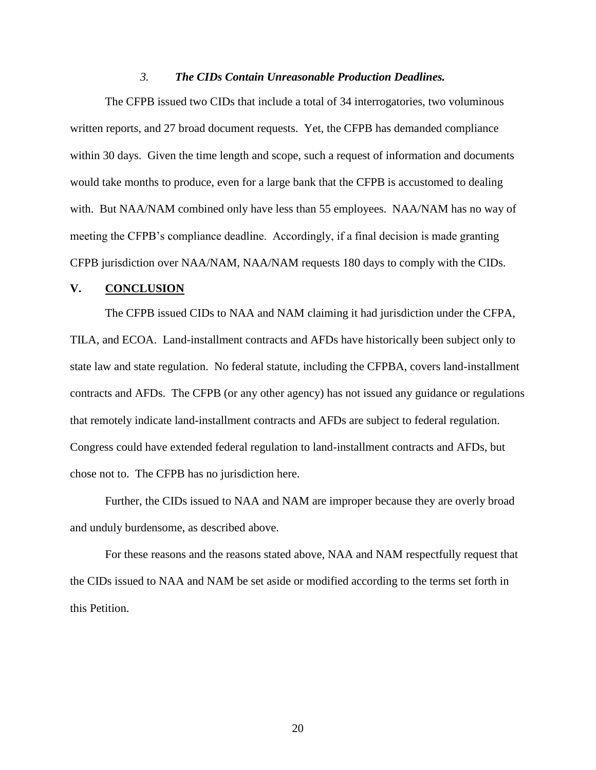#### *3. The CIDs Contain Unreasonable Production Deadlines.*

<span id="page-23-0"></span>The CFPB issued two CIDs that include a total of 34 interrogatories, two voluminous written reports, and 27 broad document requests. Yet, the CFPB has demanded compliance within 30 days. Given the time length and scope, such a request of information and documents would take months to produce, even for a large bank that the CFPB is accustomed to dealing with. But NAA/NAM combined only have less than 55 employees. NAA/NAM has no way of meeting the CFPB's compliance deadline. Accordingly, if a final decision is made granting CFPB jurisdiction over NAA/NAM, NAA/NAM requests 180 days to comply with the CIDs.

#### <span id="page-23-1"></span>**V. CONCLUSION**

The CFPB issued CIDs to NAA and NAM claiming it had jurisdiction under the CFPA, TILA, and ECOA. Land-installment contracts and AFDs have historically been subject only to state law and state regulation. No federal statute, including the CFPBA, covers land-installment contracts and AFDs. The CFPB (or any other agency) has not issued any guidance or regulations that remotely indicate land-installment contracts and AFDs are subject to federal regulation. Congress could have extended federal regulation to land-installment contracts and AFDs, but chose not to. The CFPB has no jurisdiction here.

Further, the CIDs issued to NAA and NAM are improper because they are overly broad and unduly burdensome, as described above.

For these reasons and the reasons stated above, NAA and NAM respectfully request that the CIDs issued to NAA and NAM be set aside or modified according to the terms set forth in this Petition.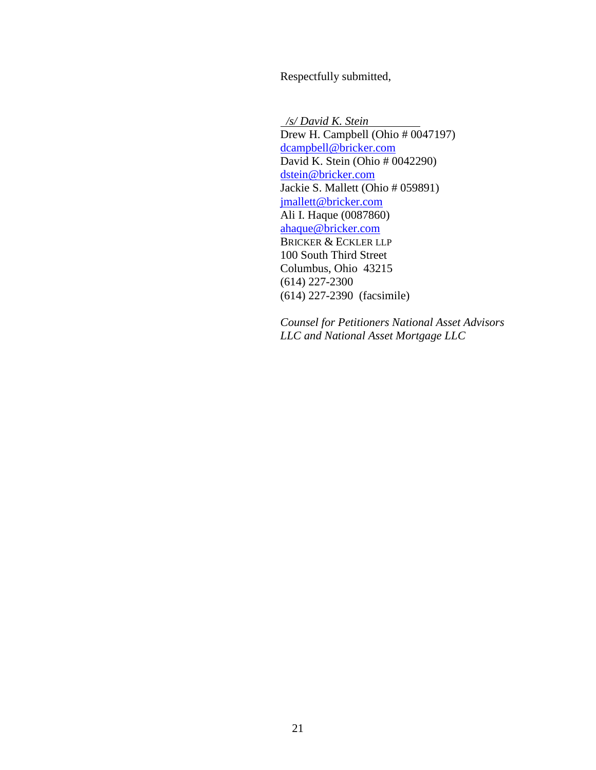Respectfully submitted,

 */s/ David K. Stein* Drew H. Campbell (Ohio # 0047197) dcampbell@bricker.com David K. Stein (Ohio # 0042290) dstein@bricker.com Jackie S. Mallett (Ohio # 059891) jmallett@bricker.com Ali I. Haque (0087860) ahaque@bricker.com BRICKER & ECKLER LLP 100 South Third Street Columbus, Ohio 43215 (614) 227-2300 (614) 227-2390 (facsimile)

*Counsel for Petitioners National Asset Advisors LLC and National Asset Mortgage LLC*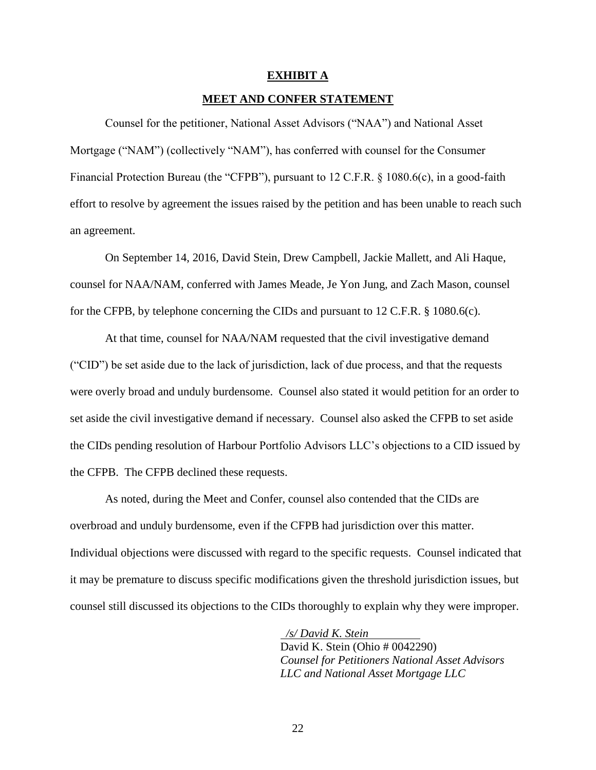#### **EXHIBIT A**

#### **MEET AND CONFER STATEMENT**

<span id="page-25-0"></span>Counsel for the petitioner, National Asset Advisors ("NAA") and National Asset Mortgage ("NAM") (collectively "NAM"), has conferred with counsel for the Consumer Financial Protection Bureau (the "CFPB"), pursuant to 12 C.F.R. § 1080.6(c), in a good-faith effort to resolve by agreement the issues raised by the petition and has been unable to reach such an agreement.

On September 14, 2016, David Stein, Drew Campbell, Jackie Mallett, and Ali Haque, counsel for NAA/NAM, conferred with James Meade, Je Yon Jung, and Zach Mason, counsel for the CFPB, by telephone concerning the CIDs and pursuant to 12 C.F.R. § 1080.6(c).

At that time, counsel for NAA/NAM requested that the civil investigative demand ("CID") be set aside due to the lack of jurisdiction, lack of due process, and that the requests were overly broad and unduly burdensome. Counsel also stated it would petition for an order to set aside the civil investigative demand if necessary. Counsel also asked the CFPB to set aside the CIDs pending resolution of Harbour Portfolio Advisors LLC's objections to a CID issued by the CFPB. The CFPB declined these requests.

As noted, during the Meet and Confer, counsel also contended that the CIDs are overbroad and unduly burdensome, even if the CFPB had jurisdiction over this matter. Individual objections were discussed with regard to the specific requests. Counsel indicated that it may be premature to discuss specific modifications given the threshold jurisdiction issues, but counsel still discussed its objections to the CIDs thoroughly to explain why they were improper.

> */s/ David K. Stein* David K. Stein (Ohio # 0042290) *Counsel for Petitioners National Asset Advisors LLC and National Asset Mortgage LLC*